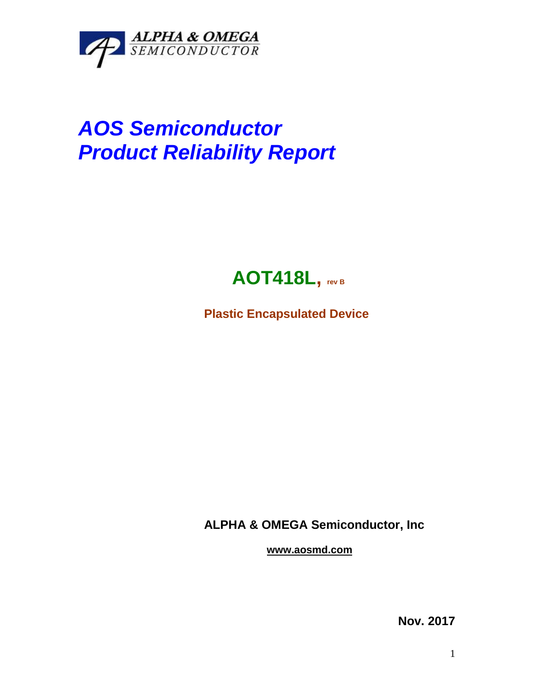

## *AOS Semiconductor Product Reliability Report*



**Plastic Encapsulated Device**

**ALPHA & OMEGA Semiconductor, Inc**

**www.aosmd.com**

**Nov. 2017**